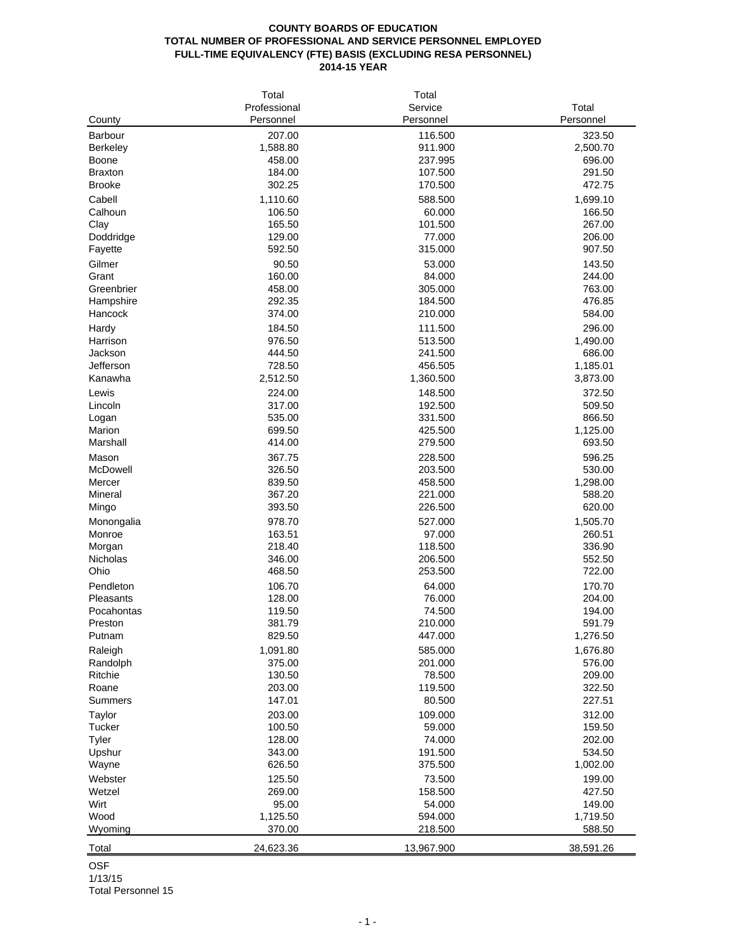## **COUNTY BOARDS OF EDUCATION TOTAL NUMBER OF PROFESSIONAL AND SERVICE PERSONNEL EMPLOYED FULL-TIME EQUIVALENCY (FTE) BASIS (EXCLUDING RESA PERSONNEL) 2014-15 YEAR**

|                | Total        | Total      |           |
|----------------|--------------|------------|-----------|
|                | Professional | Service    | Total     |
| County         | Personnel    | Personnel  | Personnel |
| <b>Barbour</b> | 207.00       | 116.500    | 323.50    |
| Berkeley       | 1,588.80     | 911.900    | 2,500.70  |
| Boone          | 458.00       | 237.995    | 696.00    |
| <b>Braxton</b> | 184.00       | 107.500    | 291.50    |
| <b>Brooke</b>  | 302.25       | 170.500    | 472.75    |
| Cabell         | 1,110.60     | 588.500    | 1,699.10  |
| Calhoun        | 106.50       | 60.000     | 166.50    |
| Clay           | 165.50       | 101.500    | 267.00    |
| Doddridge      | 129.00       | 77.000     | 206.00    |
| Fayette        | 592.50       | 315.000    | 907.50    |
| Gilmer         | 90.50        | 53.000     | 143.50    |
| Grant          | 160.00       | 84.000     | 244.00    |
| Greenbrier     | 458.00       | 305.000    | 763.00    |
| Hampshire      | 292.35       | 184.500    | 476.85    |
| Hancock        | 374.00       | 210.000    | 584.00    |
| Hardy          | 184.50       | 111.500    | 296.00    |
| Harrison       | 976.50       | 513.500    | 1,490.00  |
| Jackson        | 444.50       | 241.500    | 686.00    |
| Jefferson      | 728.50       | 456.505    | 1,185.01  |
| Kanawha        | 2,512.50     | 1,360.500  | 3,873.00  |
| Lewis          | 224.00       | 148.500    | 372.50    |
| Lincoln        | 317.00       | 192.500    | 509.50    |
| Logan          | 535.00       | 331.500    | 866.50    |
| Marion         | 699.50       | 425.500    | 1,125.00  |
| Marshall       | 414.00       | 279.500    | 693.50    |
| Mason          | 367.75       | 228.500    | 596.25    |
| McDowell       | 326.50       | 203.500    | 530.00    |
| Mercer         | 839.50       | 458.500    | 1,298.00  |
| Mineral        | 367.20       | 221.000    | 588.20    |
| Mingo          | 393.50       | 226.500    | 620.00    |
| Monongalia     | 978.70       | 527.000    | 1,505.70  |
| Monroe         | 163.51       | 97.000     | 260.51    |
| Morgan         | 218.40       | 118.500    | 336.90    |
| Nicholas       | 346.00       | 206.500    | 552.50    |
| Ohio           | 468.50       | 253.500    | 722.00    |
| Pendleton      | 106.70       | 64.000     | 170.70    |
| Pleasants      | 128.00       | 76.000     | 204.00    |
| Pocahontas     | 119.50       | 74.500     | 194.00    |
| Preston        | 381.79       | 210.000    | 591.79    |
| Putnam         | 829.50       | 447.000    | 1,276.50  |
| Raleigh        | 1,091.80     | 585.000    | 1,676.80  |
| Randolph       | 375.00       | 201.000    | 576.00    |
| Ritchie        | 130.50       | 78.500     | 209.00    |
| Roane          | 203.00       | 119.500    | 322.50    |
| Summers        | 147.01       | 80.500     | 227.51    |
| Taylor         | 203.00       | 109.000    | 312.00    |
| Tucker         | 100.50       | 59.000     | 159.50    |
| Tyler          | 128.00       | 74.000     | 202.00    |
| Upshur         | 343.00       | 191.500    | 534.50    |
| Wayne          | 626.50       | 375.500    | 1,002.00  |
| Webster        | 125.50       | 73.500     | 199.00    |
| Wetzel         | 269.00       | 158.500    | 427.50    |
| Wirt           | 95.00        | 54.000     | 149.00    |
| Wood           | 1,125.50     | 594.000    | 1,719.50  |
| Wyoming        | 370.00       | 218.500    | 588.50    |
| Total          | 24,623.36    | 13,967.900 | 38,591.26 |
|                |              |            |           |

OSF

1/13/15

Total Personnel 15